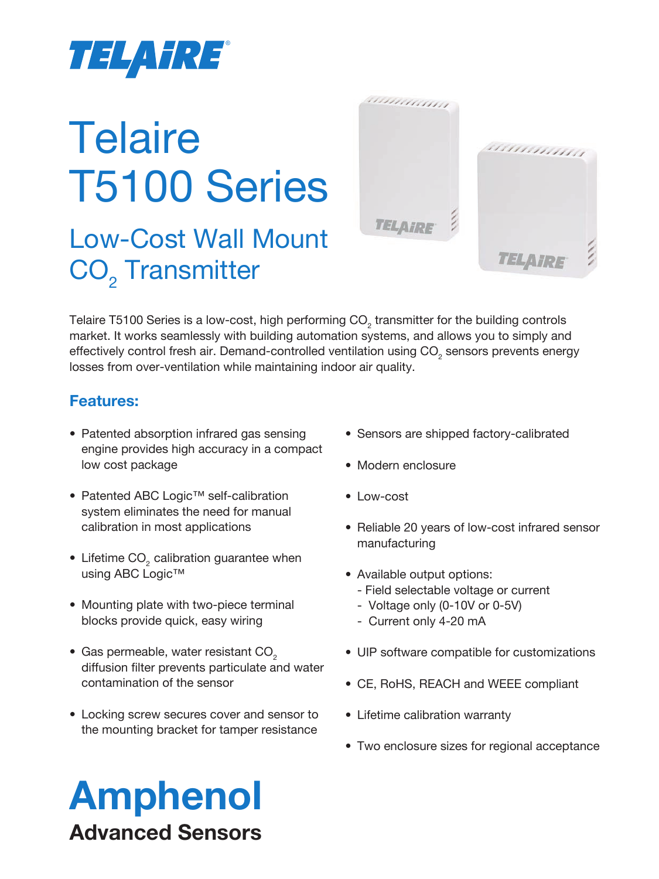

# **Telaire** T5100 Series

Low-Cost Wall Mount  $\mathsf{CO}_{_2}$  Transmitter



Telaire T5100 Series is a low-cost, high performing CO<sub>2</sub> transmitter for the building controls market. It works seamlessly with building automation systems, and allows you to simply and effectively control fresh air. Demand-controlled ventilation using CO $_{_2}$  sensors prevents energy losses from over-ventilation while maintaining indoor air quality.

#### **Features:**

- Patented absorption infrared gas sensing engine provides high accuracy in a compact low cost package
- Patented ABC Logic™ self-calibration system eliminates the need for manual calibration in most applications
- Lifetime  $CO<sub>2</sub>$  calibration guarantee when using ABC Logic™
- Mounting plate with two-piece terminal blocks provide quick, easy wiring
- Gas permeable, water resistant  $CO<sub>2</sub>$ diffusion filter prevents particulate and water contamination of the sensor
- Locking screw secures cover and sensor to the mounting bracket for tamper resistance
- Sensors are shipped factory-calibrated
- Modern enclosure
- Low-cost
- Reliable 20 years of low-cost infrared sensor manufacturing
- Available output options:
	- Field selectable voltage or current
	- Voltage only (0-10V or 0-5V)
	- Current only 4-20 mA
- UIP software compatible for customizations
- CE, RoHS, REACH and WEEE compliant
- Lifetime calibration warranty
- Two enclosure sizes for regional acceptance

# Amphenol Advanced Sensors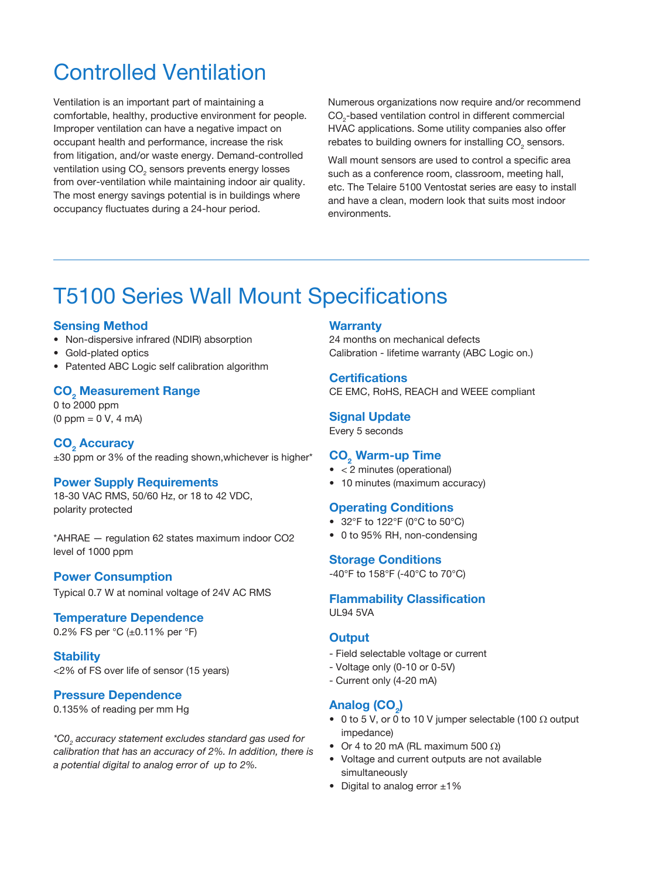### Controlled Ventilation

Ventilation is an important part of maintaining a comfortable, healthy, productive environment for people. Improper ventilation can have a negative impact on occupant health and performance, increase the risk from litigation, and/or waste energy. Demand-controlled ventilation using CO $_{\tiny 2}$  sensors prevents energy losses from over-ventilation while maintaining indoor air quality. The most energy savings potential is in buildings where occupancy fluctuates during a 24-hour period.

Numerous organizations now require and/or recommend  $\mathrm{CO}_2$ -based ventilation control in different commercial HVAC applications. Some utility companies also offer rebates to building owners for installing CO $_{_2}$  sensors.

Wall mount sensors are used to control a specific area such as a conference room, classroom, meeting hall, etc. The Telaire 5100 Ventostat series are easy to install and have a clean, modern look that suits most indoor environments.

## T5100 Series Wall Mount Specifications

#### **Sensing Method**

- Non-dispersive infrared (NDIR) absorption
- Gold-plated optics
- Patented ABC Logic self calibration algorithm

#### **CO2 Measurement Range**

0 to 2000 ppm (0 ppm = 0 V, 4 mA)

#### CO<sub>2</sub> Accuracy ±30 ppm or 3% of the reading shown,whichever is higher\*

#### **Power Supply Requirements**

18-30 VAC RMS, 50/60 Hz, or 18 to 42 VDC, polarity protected

\*AHRAE — regulation 62 states maximum indoor CO2 level of 1000 ppm

#### **Power Consumption**

Typical 0.7 W at nominal voltage of 24V AC RMS

#### **Temperature Dependence**

0.2% FS per °C (±0.11% per °F)

#### **Stability**

<2% of FS over life of sensor (15 years)

#### **Pressure Dependence**

0.135% of reading per mm Hg

*\*C02 accuracy statement excludes standard gas used for calibration that has an accuracy of 2%. In addition, there is a potential digital to analog error of up to 2%.*

#### **Warranty**

24 months on mechanical defects Calibration - lifetime warranty (ABC Logic on.)

#### **Certifications**

CE EMC, RoHS, REACH and WEEE compliant

#### **Signal Update**

Every 5 seconds

#### **CO<sub>2</sub> Warm-up Time**

- < 2 minutes (operational)
- 10 minutes (maximum accuracy)

#### **Operating Conditions**

- 32°F to 122°F (0°C to 50°C)
- 0 to 95% RH, non-condensing

#### **Storage Conditions**

-40°F to 158°F (-40°C to 70°C)

#### **Flammability Classification**

UL94 5VA

#### **Output**

- Field selectable voltage or current
- Voltage only (0-10 or 0-5V)
- Current only (4-20 mA)

#### $\mathsf{Analog}\ (\mathsf{CO}_2\text{)}$

- 0 to 5 V, or 0 to 10 V jumper selectable (100  $\Omega$  output impedance)
- Or 4 to 20 mA (RL maximum 500  $\Omega$ )
- Voltage and current outputs are not available simultaneously
- Digital to analog error ±1%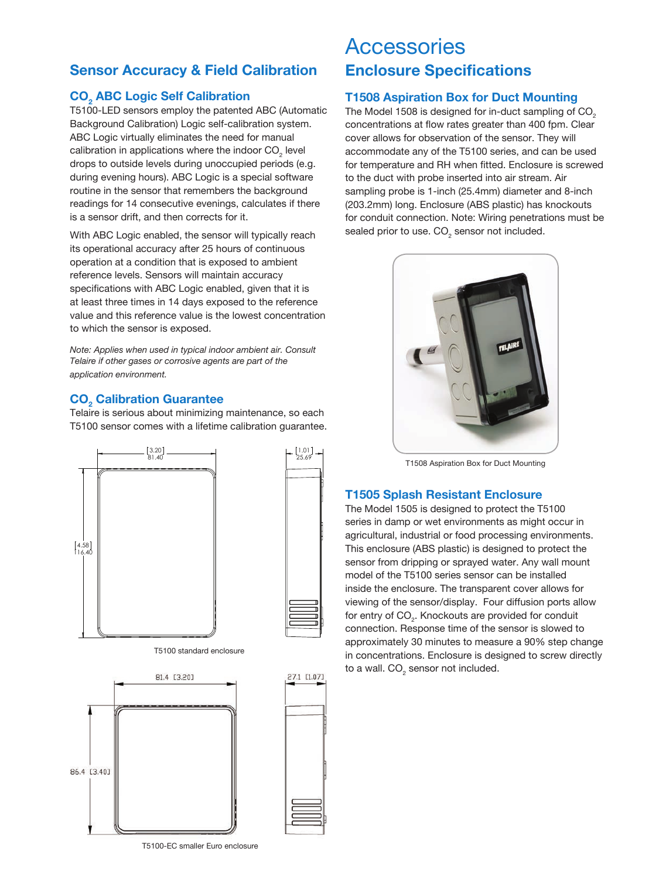#### **Sensor Accuracy & Field Calibration**

#### **CO2 ABC Logic Self Calibration**

T5100-LED sensors employ the patented ABC (Automatic Background Calibration) Logic self-calibration system. ABC Logic virtually eliminates the need for manual calibration in applications where the indoor CO<sub>2</sub> level drops to outside levels during unoccupied periods (e.g. during evening hours). ABC Logic is a special software routine in the sensor that remembers the background readings for 14 consecutive evenings, calculates if there is a sensor drift, and then corrects for it.

With ABC Logic enabled, the sensor will typically reach its operational accuracy after 25 hours of continuous operation at a condition that is exposed to ambient reference levels. Sensors will maintain accuracy specifications with ABC Logic enabled, given that it is at least three times in 14 days exposed to the reference value and this reference value is the lowest concentration to which the sensor is exposed.

*Note: Applies when used in typical indoor ambient air. Consult Telaire if other gases or corrosive agents are part of the application environment.*

#### **CO2 Calibration Guarantee**

Telaire is serious about minimizing maintenance, so each T5100 sensor comes with a lifetime calibration guarantee.





1.01 25.69

T5100 standard enclosure





**Accessories Enclosure Specifications**

#### **T1508 Aspiration Box for Duct Mounting**

The Model 1508 is designed for in-duct sampling of CO<sub>2</sub> concentrations at flow rates greater than 400 fpm. Clear cover allows for observation of the sensor. They will accommodate any of the T5100 series, and can be used for temperature and RH when fitted. Enclosure is screwed to the duct with probe inserted into air stream. Air sampling probe is 1-inch (25.4mm) diameter and 8-inch (203.2mm) long. Enclosure (ABS plastic) has knockouts for conduit connection. Note: Wiring penetrations must be sealed prior to use. CO $_{\textrm{\tiny{2}}}$  sensor not included.



T1508 Aspiration Box for Duct Mounting

#### **T1505 Splash Resistant Enclosure**

The Model 1505 is designed to protect the T5100 series in damp or wet environments as might occur in agricultural, industrial or food processing environments. This enclosure (ABS plastic) is designed to protect the sensor from dripping or sprayed water. Any wall mount model of the T5100 series sensor can be installed inside the enclosure. The transparent cover allows for viewing of the sensor/display. Four diffusion ports allow for entry of CO<sub>2</sub>. Knockouts are provided for conduit connection. Response time of the sensor is slowed to approximately 30 minutes to measure a 90% step change in concentrations. Enclosure is designed to screw directly to a wall. CO $_{\tiny 2}$  sensor not included.

T5100-EC smaller Euro enclosure